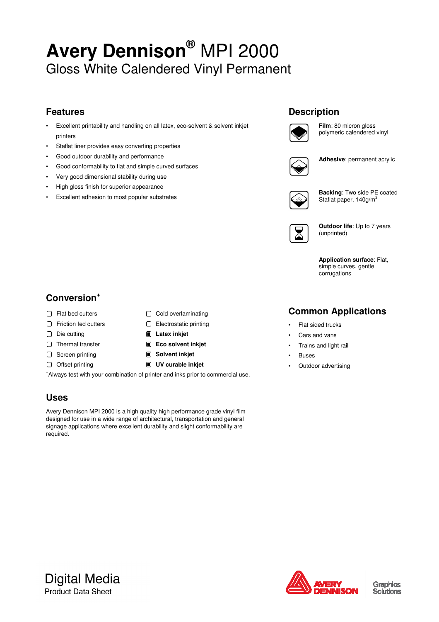# **Avery Dennison®** MPI 2000 Gloss White Calendered Vinyl Permanent

# **Features**

- Excellent printability and handling on all latex, eco-solvent & solvent inkjet printers
- Staflat liner provides easy converting properties
- Good outdoor durability and performance
- Good conformability to flat and simple curved surfaces
- Very good dimensional stability during use
- High gloss finish for superior appearance
- Excellent adhesion to most popular substrates

# **Description**



**Film**: 80 micron gloss polymeric calendered vinyl



**Adhesive**: permanent acrylic



**Backing**: Two side PE coated Staflat paper, 140g/m<sup>2</sup>

|--|

**Outdoor life**: Up to 7 years (unprinted)

**Application surface**: Flat, simple curves, gentle corrugations

# **Conversion<sup>+</sup>**

- □ Flat bed cutters □ Cold overlaminating
- □ Friction fed cutters □ Electrostatic printing
- Die cutting **Latex inkjet**
- □ Thermal transfer  **Eco solvent inkjet**
- □ Screen printing  **Solvent inkjet**
- 
- 
- Offset printing **UV curable inkjet**

<sup>+</sup>Always test with your combination of printer and inks prior to commercial use.

## **Uses**

Avery Dennison MPI 2000 is a high quality high performance grade vinyl film designed for use in a wide range of architectural, transportation and general signage applications where excellent durability and slight conformability are required.

# **Common Applications**

- Flat sided trucks
- Cars and vans
- Trains and light rail
- Buses
- Outdoor advertising

**Digital Media Product Data Sheet** 



Graphics Solutions